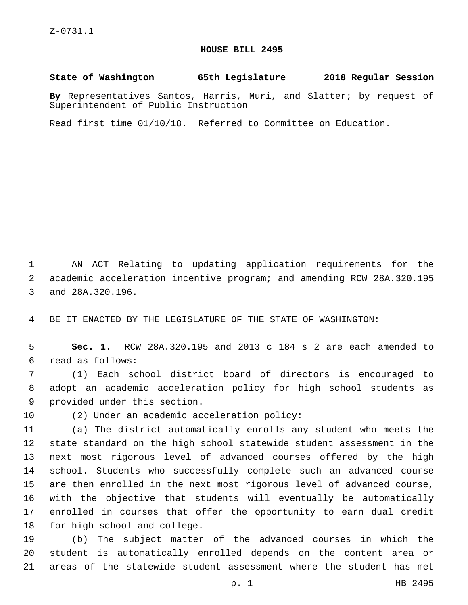## **HOUSE BILL 2495**

**State of Washington 65th Legislature 2018 Regular Session**

**By** Representatives Santos, Harris, Muri, and Slatter; by request of Superintendent of Public Instruction

Read first time 01/10/18. Referred to Committee on Education.

1 AN ACT Relating to updating application requirements for the 2 academic acceleration incentive program; and amending RCW 28A.320.195 3 and 28A.320.196.

4 BE IT ENACTED BY THE LEGISLATURE OF THE STATE OF WASHINGTON:

5 **Sec. 1.** RCW 28A.320.195 and 2013 c 184 s 2 are each amended to read as follows:6

7 (1) Each school district board of directors is encouraged to 8 adopt an academic acceleration policy for high school students as 9 provided under this section.

10 (2) Under an academic acceleration policy:

 (a) The district automatically enrolls any student who meets the state standard on the high school statewide student assessment in the next most rigorous level of advanced courses offered by the high school. Students who successfully complete such an advanced course are then enrolled in the next most rigorous level of advanced course, with the objective that students will eventually be automatically enrolled in courses that offer the opportunity to earn dual credit 18 for high school and college.

19 (b) The subject matter of the advanced courses in which the 20 student is automatically enrolled depends on the content area or 21 areas of the statewide student assessment where the student has met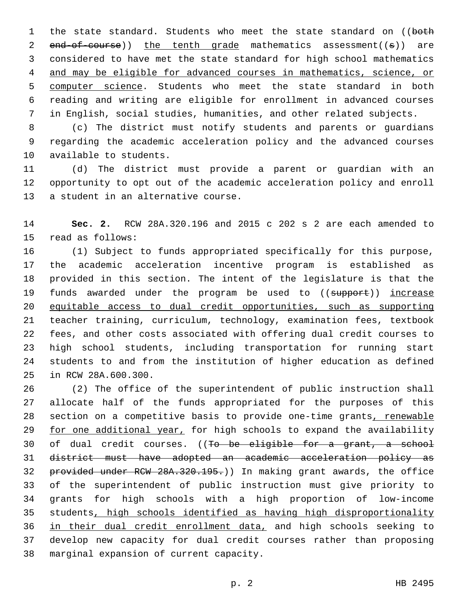1 the state standard. Students who meet the state standard on ((both 2 end-of-course)) the tenth grade mathematics assessment((s)) are considered to have met the state standard for high school mathematics and may be eligible for advanced courses in mathematics, science, or 5 computer science. Students who meet the state standard in both reading and writing are eligible for enrollment in advanced courses in English, social studies, humanities, and other related subjects.

 (c) The district must notify students and parents or guardians regarding the academic acceleration policy and the advanced courses 10 available to students.

 (d) The district must provide a parent or guardian with an opportunity to opt out of the academic acceleration policy and enroll 13 a student in an alternative course.

 **Sec. 2.** RCW 28A.320.196 and 2015 c 202 s 2 are each amended to 15 read as follows:

 (1) Subject to funds appropriated specifically for this purpose, the academic acceleration incentive program is established as provided in this section. The intent of the legislature is that the 19 funds awarded under the program be used to ((support)) increase equitable access to dual credit opportunities, such as supporting teacher training, curriculum, technology, examination fees, textbook fees, and other costs associated with offering dual credit courses to high school students, including transportation for running start students to and from the institution of higher education as defined 25 in RCW 28A.600.300.

 (2) The office of the superintendent of public instruction shall allocate half of the funds appropriated for the purposes of this section on a competitive basis to provide one-time grants, renewable 29 for one additional year, for high schools to expand the availability 30 of dual credit courses. ((To be eligible for a grant, a school district must have adopted an academic acceleration policy as 32 provided under RCW 28A.320.195.)) In making grant awards, the office of the superintendent of public instruction must give priority to grants for high schools with a high proportion of low-income students, high schools identified as having high disproportionality in their dual credit enrollment data, and high schools seeking to develop new capacity for dual credit courses rather than proposing 38 marginal expansion of current capacity.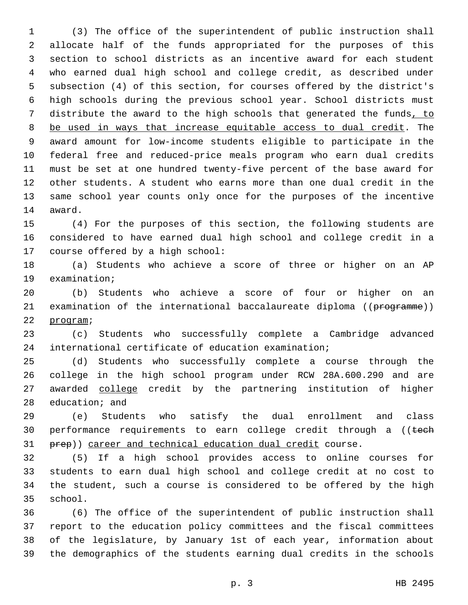(3) The office of the superintendent of public instruction shall allocate half of the funds appropriated for the purposes of this section to school districts as an incentive award for each student who earned dual high school and college credit, as described under subsection (4) of this section, for courses offered by the district's high schools during the previous school year. School districts must distribute the award to the high schools that generated the funds, to be used in ways that increase equitable access to dual credit. The award amount for low-income students eligible to participate in the federal free and reduced-price meals program who earn dual credits must be set at one hundred twenty-five percent of the base award for other students. A student who earns more than one dual credit in the same school year counts only once for the purposes of the incentive 14 award.

 (4) For the purposes of this section, the following students are considered to have earned dual high school and college credit in a 17 course offered by a high school:

 (a) Students who achieve a score of three or higher on an AP 19 examination;

 (b) Students who achieve a score of four or higher on an 21 examination of the international baccalaureate diploma ((programme)) 22 program;

 (c) Students who successfully complete a Cambridge advanced international certificate of education examination;

 (d) Students who successfully complete a course through the college in the high school program under RCW 28A.600.290 and are 27 awarded college credit by the partnering institution of higher 28 education; and

 (e) Students who satisfy the dual enrollment and class 30 performance requirements to earn college credit through a ((tech 31 prep)) career and technical education dual credit course.

 (5) If a high school provides access to online courses for students to earn dual high school and college credit at no cost to the student, such a course is considered to be offered by the high 35 school.

 (6) The office of the superintendent of public instruction shall report to the education policy committees and the fiscal committees of the legislature, by January 1st of each year, information about the demographics of the students earning dual credits in the schools